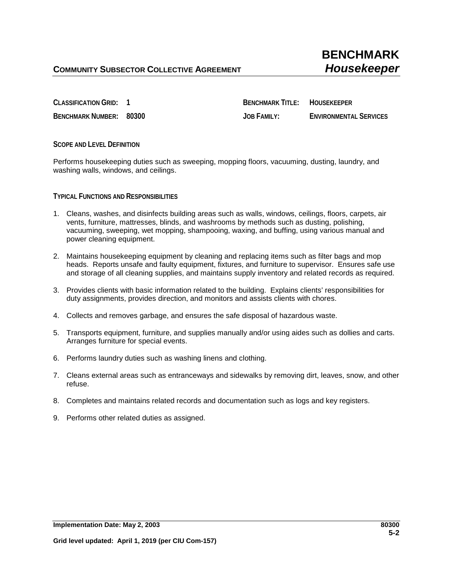**CLASSIFICATION GRID: 1 BENCHMARK TITLE: HOUSEKEEPER BENCHMARK NUMBER: 80300 JOB FAMILY: ENVIRONMENTAL SERVICES**

**SCOPE AND LEVEL DEFINITION**

Performs housekeeping duties such as sweeping, mopping floors, vacuuming, dusting, laundry, and washing walls, windows, and ceilings.

**TYPICAL FUNCTIONS AND RESPONSIBILITIES**

- 1. Cleans, washes, and disinfects building areas such as walls, windows, ceilings, floors, carpets, air vents, furniture, mattresses, blinds, and washrooms by methods such as dusting, polishing, vacuuming, sweeping, wet mopping, shampooing, waxing, and buffing, using various manual and power cleaning equipment.
- 2. Maintains housekeeping equipment by cleaning and replacing items such as filter bags and mop heads. Reports unsafe and faulty equipment, fixtures, and furniture to supervisor. Ensures safe use and storage of all cleaning supplies, and maintains supply inventory and related records as required.
- 3. Provides clients with basic information related to the building. Explains clients' responsibilities for duty assignments, provides direction, and monitors and assists clients with chores.
- 4. Collects and removes garbage, and ensures the safe disposal of hazardous waste.
- 5. Transports equipment, furniture, and supplies manually and/or using aides such as dollies and carts. Arranges furniture for special events.
- 6. Performs laundry duties such as washing linens and clothing.
- 7. Cleans external areas such as entranceways and sidewalks by removing dirt, leaves, snow, and other refuse.
- 8. Completes and maintains related records and documentation such as logs and key registers.
- 9. Performs other related duties as assigned.